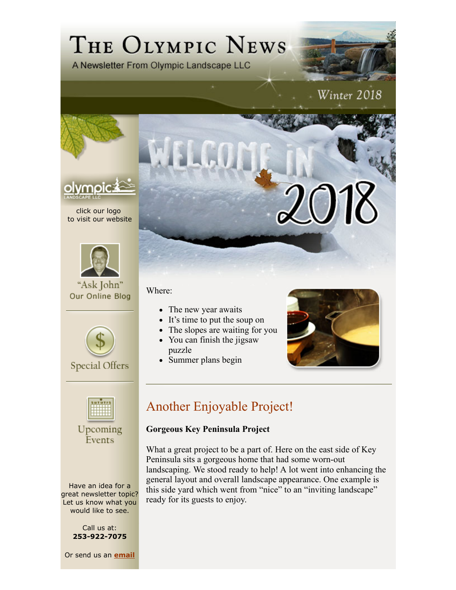# THE OLYMPIC NEWS

A Newsletter From Olympic Landscape LLC

## Winter 2018



click our logo to visit our website



"Ask John" Our Online Blog



**Special Offers** 



Upcoming Events

Have an idea for a great newsletter topic? Let us know what you would like to see.

> Call us at: **253-922-7075**

Or send us an **email**

Where:

- The new year awaits
- It's time to put the soup on
- The slopes are waiting for you
- You can finish the jigsaw
- puzzle
- Summer plans begin



### Another Enjoyable Project!

#### **Gorgeous Key Peninsula Project**

What a great project to be a part of. Here on the east side of Key Peninsula sits a gorgeous home that had some worn-out landscaping. We stood ready to help! A lot went into enhancing the general layout and overall landscape appearance. One example is this side yard which went from "nice" to an "inviting landscape" ready for its guests to enjoy.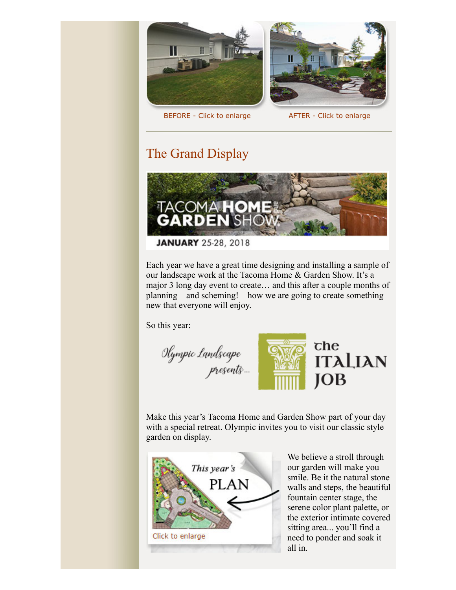



BEFORE - Click to enlarge AFTER - Click to enlarge

#### The Grand Display



Each year we have a great time designing and installing a sample of our landscape work at the Tacoma Home & Garden Show. It's a major 3 long day event to create… and this after a couple months of planning – and scheming! – how we are going to create something new that everyone will enjoy.

So this year:

Olympic Landscape<br>… presents



Make this year's Tacoma Home and Garden Show part of your day with a special retreat. Olympic invites you to visit our classic style garden on display.



We believe a stroll through our garden will make you smile. Be it the natural stone walls and steps, the beautiful fountain center stage, the serene color plant palette, or the exterior intimate covered sitting area... you'll find a need to ponder and soak it all in.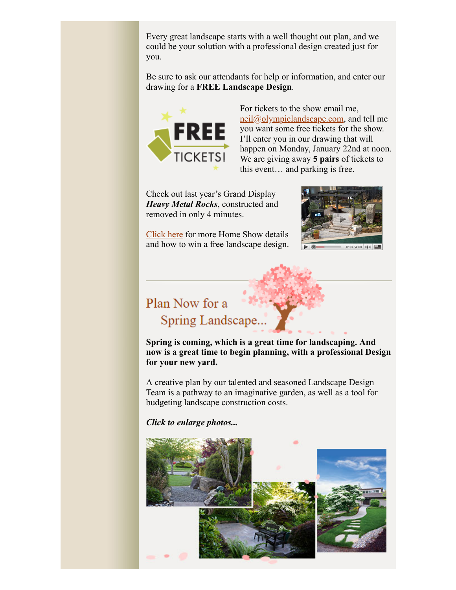Every great landscape starts with a well thought out plan, and we could be your solution with a professional design created just for you.

Be sure to ask our attendants for help or information, and enter our drawing for a **FREE Landscape Design**.



For tickets to the show email me, neil@olympiclandscape.com, and tell me you want some free tickets for the show. I'll enter you in our drawing that will happen on Monday, January 22nd at noon. We are giving away **5 pairs** of tickets to this event… and parking is free.

Check out last year's Grand Display *Heavy Metal Rocks*, constructed and removed in only 4 minutes.



Click here for more Home Show details and how to win a free landscape design.

## Plan Now for a Spring Landscape...

**Spring is coming, which is a great time for landscaping. And now is a great time to begin planning, with a professional Design for your new yard.** 

A creative plan by our talented and seasoned Landscape Design Team is a pathway to an imaginative garden, as well as a tool for budgeting landscape construction costs.

*Click to enlarge photos...*